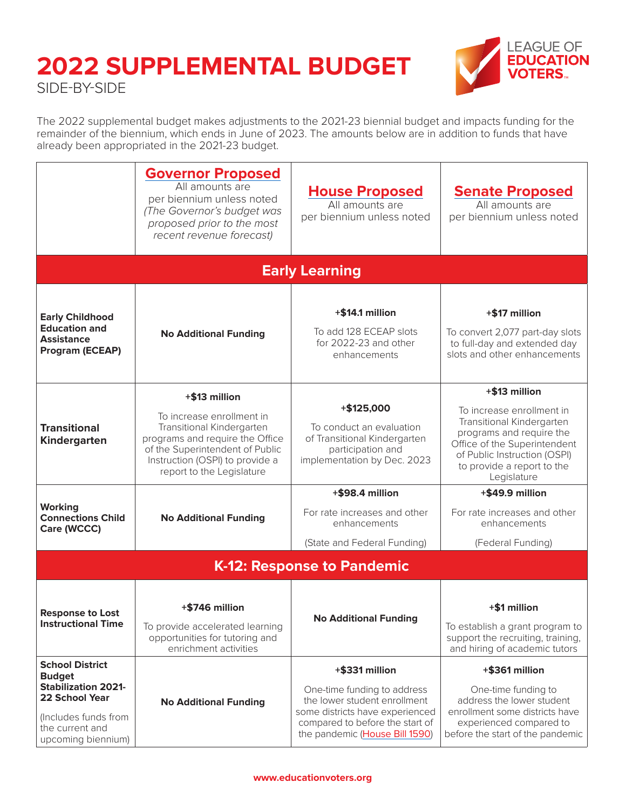

The 2022 supplemental budget makes adjustments to the 2021-23 biennial budget and impacts funding for the remainder of the biennium, which ends in June of 2023. The amounts below are in addition to funds that have already been appropriated in the 2021-23 budget.

|                                                                                                                                                          | <b>Governor Proposed</b><br>All amounts are<br>per biennium unless noted<br>(The Governor's budget was<br>proposed prior to the most<br>recent revenue forecast)                                              | <b>House Proposed</b><br>All amounts are<br>per biennium unless noted                                                                                                                 | <b>Senate Proposed</b><br>All amounts are<br>per biennium unless noted                                                                                                                                           |  |
|----------------------------------------------------------------------------------------------------------------------------------------------------------|---------------------------------------------------------------------------------------------------------------------------------------------------------------------------------------------------------------|---------------------------------------------------------------------------------------------------------------------------------------------------------------------------------------|------------------------------------------------------------------------------------------------------------------------------------------------------------------------------------------------------------------|--|
|                                                                                                                                                          |                                                                                                                                                                                                               | <b>Early Learning</b>                                                                                                                                                                 |                                                                                                                                                                                                                  |  |
| <b>Early Childhood</b><br><b>Education and</b><br><b>Assistance</b><br>Program (ECEAP)                                                                   | <b>No Additional Funding</b>                                                                                                                                                                                  | $+$ \$14.1 million<br>To add 128 ECEAP slots<br>for 2022-23 and other<br>enhancements                                                                                                 | +\$17 million<br>To convert 2,077 part-day slots<br>to full-day and extended day<br>slots and other enhancements                                                                                                 |  |
| <b>Transitional</b><br>Kindergarten                                                                                                                      | +\$13 million<br>To increase enrollment in<br>Transitional Kindergarten<br>programs and require the Office<br>of the Superintendent of Public<br>Instruction (OSPI) to provide a<br>report to the Legislature | $+ $125,000$<br>To conduct an evaluation<br>of Transitional Kindergarten<br>participation and<br>implementation by Dec. 2023                                                          | +\$13 million<br>To increase enrollment in<br>Transitional Kindergarten<br>programs and require the<br>Office of the Superintendent<br>of Public Instruction (OSPI)<br>to provide a report to the<br>Legislature |  |
| <b>Working</b><br><b>Connections Child</b><br>Care (WCCC)                                                                                                | <b>No Additional Funding</b>                                                                                                                                                                                  | +\$98.4 million<br>For rate increases and other<br>enhancements<br>(State and Federal Funding)                                                                                        | +\$49.9 million<br>For rate increases and other<br>enhancements<br>(Federal Funding)                                                                                                                             |  |
|                                                                                                                                                          | <b>K-12: Response to Pandemic</b>                                                                                                                                                                             |                                                                                                                                                                                       |                                                                                                                                                                                                                  |  |
| <b>Response to Lost</b><br><b>Instructional Time</b>                                                                                                     | +\$746 million<br>To provide accelerated learning<br>opportunities for tutoring and<br>enrichment activities                                                                                                  | <b>No Additional Funding</b>                                                                                                                                                          | +\$1 million<br>To establish a grant program to<br>support the recruiting, training,<br>and hiring of academic tutors                                                                                            |  |
| <b>School District</b><br><b>Budget</b><br><b>Stabilization 2021-</b><br>22 School Year<br>(Includes funds from<br>the current and<br>upcoming biennium) | <b>No Additional Funding</b>                                                                                                                                                                                  | +\$331 million<br>One-time funding to address<br>the lower student enrollment<br>some districts have experienced<br>compared to before the start of<br>the pandemic (House Bill 1590) | +\$361 million<br>One-time funding to<br>address the lower student<br>enrollment some districts have<br>experienced compared to<br>before the start of the pandemic                                              |  |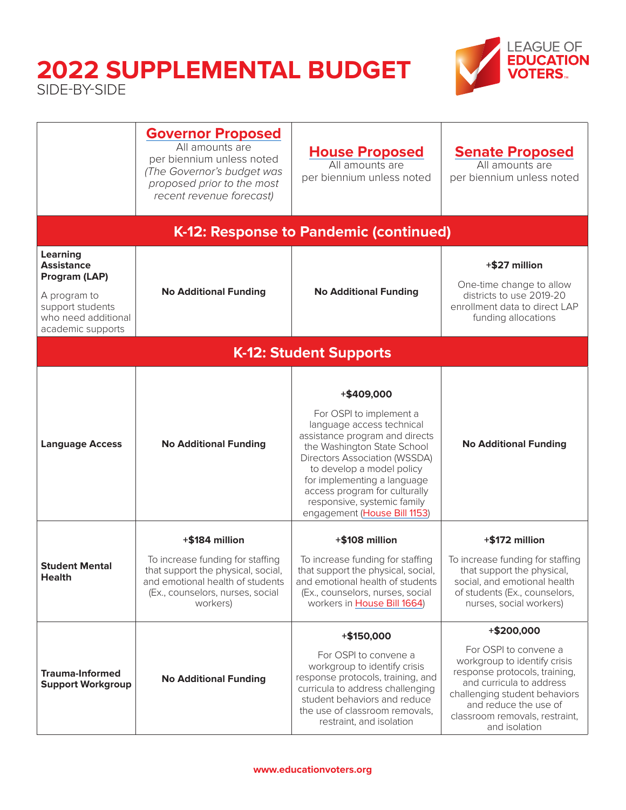

|                                                                                                                                       | <b>Governor Proposed</b><br>All amounts are<br>per biennium unless noted<br>(The Governor's budget was<br>proposed prior to the most<br>recent revenue forecast) | <b>House Proposed</b><br>All amounts are<br>per biennium unless noted                                                                                                                                                                                                                                                                   | <b>Senate Proposed</b><br>All amounts are<br>per biennium unless noted                                                                                                                                                          |
|---------------------------------------------------------------------------------------------------------------------------------------|------------------------------------------------------------------------------------------------------------------------------------------------------------------|-----------------------------------------------------------------------------------------------------------------------------------------------------------------------------------------------------------------------------------------------------------------------------------------------------------------------------------------|---------------------------------------------------------------------------------------------------------------------------------------------------------------------------------------------------------------------------------|
|                                                                                                                                       |                                                                                                                                                                  | K-12: Response to Pandemic (continued)                                                                                                                                                                                                                                                                                                  |                                                                                                                                                                                                                                 |
| <b>Learning</b><br><b>Assistance</b><br>Program (LAP)<br>A program to<br>support students<br>who need additional<br>academic supports | <b>No Additional Funding</b>                                                                                                                                     | <b>No Additional Funding</b>                                                                                                                                                                                                                                                                                                            | +\$27 million<br>One-time change to allow<br>districts to use 2019-20<br>enrollment data to direct LAP<br>funding allocations                                                                                                   |
|                                                                                                                                       |                                                                                                                                                                  | <b>K-12: Student Supports</b>                                                                                                                                                                                                                                                                                                           |                                                                                                                                                                                                                                 |
| <b>Language Access</b>                                                                                                                | <b>No Additional Funding</b>                                                                                                                                     | +\$409,000<br>For OSPI to implement a<br>language access technical<br>assistance program and directs<br>the Washington State School<br><b>Directors Association (WSSDA)</b><br>to develop a model policy<br>for implementing a language<br>access program for culturally<br>responsive, systemic family<br>engagement (House Bill 1153) | <b>No Additional Funding</b>                                                                                                                                                                                                    |
|                                                                                                                                       | +\$184 million                                                                                                                                                   | +\$108 million                                                                                                                                                                                                                                                                                                                          | +\$172 million                                                                                                                                                                                                                  |
| <b>Student Mental</b><br><b>Health</b>                                                                                                | To increase funding for staffing<br>that support the physical, social,<br>and emotional health of students<br>(Ex., counselors, nurses, social<br>workers)       | To increase funding for staffing<br>that support the physical, social,<br>and emotional health of students<br>(Ex., counselors, nurses, social<br>workers in House Bill 1664)                                                                                                                                                           | To increase funding for staffing<br>that support the physical,<br>social, and emotional health<br>of students (Ex., counselors,<br>nurses, social workers)                                                                      |
|                                                                                                                                       |                                                                                                                                                                  | +\$150,000                                                                                                                                                                                                                                                                                                                              | +\$200,000                                                                                                                                                                                                                      |
| <b>Trauma-Informed</b><br><b>Support Workgroup</b>                                                                                    | <b>No Additional Funding</b>                                                                                                                                     | For OSPI to convene a<br>workgroup to identify crisis<br>response protocols, training, and<br>curricula to address challenging<br>student behaviors and reduce<br>the use of classroom removals,<br>restraint, and isolation                                                                                                            | For OSPI to convene a<br>workgroup to identify crisis<br>response protocols, training,<br>and curricula to address<br>challenging student behaviors<br>and reduce the use of<br>classroom removals, restraint,<br>and isolation |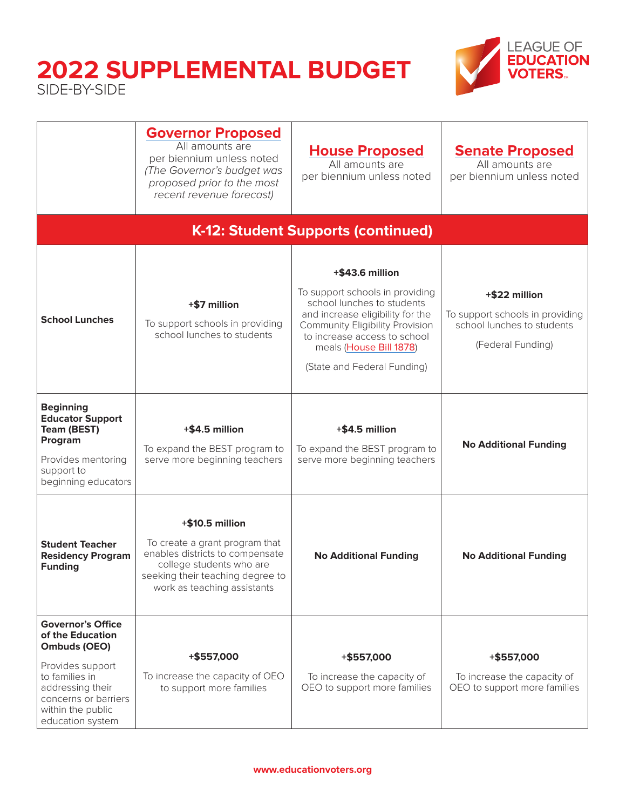

|                                                                                                                                                                                         | <b>Governor Proposed</b><br>All amounts are<br>per biennium unless noted<br>(The Governor's budget was<br>proposed prior to the most<br>recent revenue forecast)                    | <b>House Proposed</b><br>All amounts are<br>per biennium unless noted                                                                                                                                                                                    | <b>Senate Proposed</b><br>All amounts are<br>per biennium unless noted                              |
|-----------------------------------------------------------------------------------------------------------------------------------------------------------------------------------------|-------------------------------------------------------------------------------------------------------------------------------------------------------------------------------------|----------------------------------------------------------------------------------------------------------------------------------------------------------------------------------------------------------------------------------------------------------|-----------------------------------------------------------------------------------------------------|
|                                                                                                                                                                                         |                                                                                                                                                                                     | K-12: Student Supports (continued)                                                                                                                                                                                                                       |                                                                                                     |
| <b>School Lunches</b>                                                                                                                                                                   | +\$7 million<br>To support schools in providing<br>school lunches to students                                                                                                       | +\$43.6 million<br>To support schools in providing<br>school lunches to students<br>and increase eligibility for the<br><b>Community Eligibility Provision</b><br>to increase access to school<br>meals (House Bill 1878)<br>(State and Federal Funding) | +\$22 million<br>To support schools in providing<br>school lunches to students<br>(Federal Funding) |
| <b>Beginning</b><br><b>Educator Support</b><br><b>Team (BEST)</b><br>Program<br>Provides mentoring<br>support to<br>beginning educators                                                 | +\$4.5 million<br>To expand the BEST program to<br>serve more beginning teachers                                                                                                    | +\$4.5 million<br>To expand the BEST program to<br>serve more beginning teachers                                                                                                                                                                         | <b>No Additional Funding</b>                                                                        |
| <b>Student Teacher</b><br><b>Residency Program</b><br><b>Funding</b>                                                                                                                    | +\$10.5 million<br>To create a grant program that<br>enables districts to compensate<br>college students who are<br>seeking their teaching degree to<br>work as teaching assistants | <b>No Additional Funding</b>                                                                                                                                                                                                                             | <b>No Additional Funding</b>                                                                        |
| <b>Governor's Office</b><br>of the Education<br>Ombuds (OEO)<br>Provides support<br>to families in<br>addressing their<br>concerns or barriers<br>within the public<br>education system | +\$557,000<br>To increase the capacity of OEO<br>to support more families                                                                                                           | +\$557,000<br>To increase the capacity of<br>OEO to support more families                                                                                                                                                                                | +\$557,000<br>To increase the capacity of<br>OEO to support more families                           |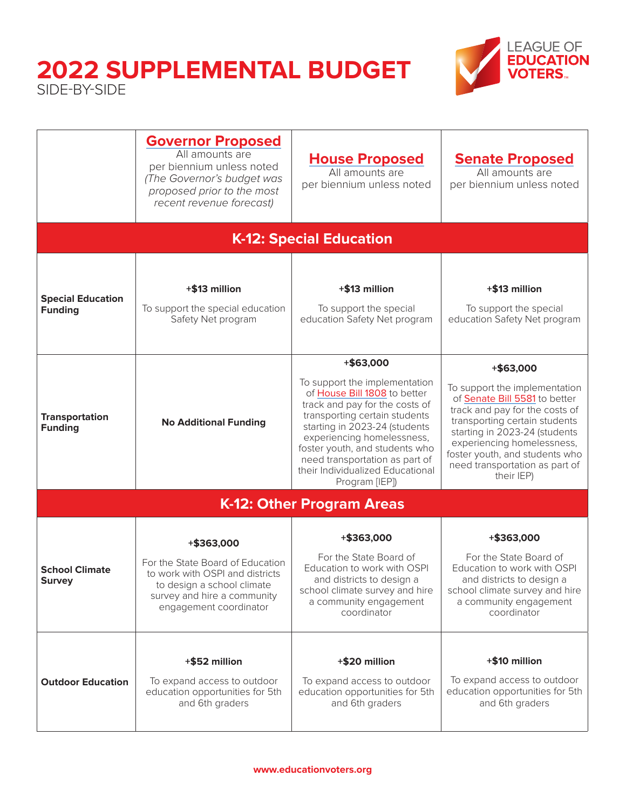

|                                            | <b>Governor Proposed</b><br>All amounts are<br>per biennium unless noted<br>(The Governor's budget was<br>proposed prior to the most<br>recent revenue forecast)         | <b>House Proposed</b><br>All amounts are<br>per biennium unless noted                                                                                                                                                                                                                                                                  | <b>Senate Proposed</b><br>All amounts are<br>per biennium unless noted                                                                                                                                                                                                                          |
|--------------------------------------------|--------------------------------------------------------------------------------------------------------------------------------------------------------------------------|----------------------------------------------------------------------------------------------------------------------------------------------------------------------------------------------------------------------------------------------------------------------------------------------------------------------------------------|-------------------------------------------------------------------------------------------------------------------------------------------------------------------------------------------------------------------------------------------------------------------------------------------------|
|                                            |                                                                                                                                                                          | <b>K-12: Special Education</b>                                                                                                                                                                                                                                                                                                         |                                                                                                                                                                                                                                                                                                 |
| <b>Special Education</b><br><b>Funding</b> | +\$13 million<br>To support the special education<br>Safety Net program                                                                                                  | +\$13 million<br>To support the special<br>education Safety Net program                                                                                                                                                                                                                                                                | +\$13 million<br>To support the special<br>education Safety Net program                                                                                                                                                                                                                         |
| <b>Transportation</b><br><b>Funding</b>    | <b>No Additional Funding</b>                                                                                                                                             | +\$63,000<br>To support the implementation<br>of House Bill 1808 to better<br>track and pay for the costs of<br>transporting certain students<br>starting in 2023-24 (students<br>experiencing homelessness,<br>foster youth, and students who<br>need transportation as part of<br>their Individualized Educational<br>Program [IEP]) | +\$63,000<br>To support the implementation<br>of Senate Bill 5581 to better<br>track and pay for the costs of<br>transporting certain students<br>starting in 2023-24 (students<br>experiencing homelessness,<br>foster youth, and students who<br>need transportation as part of<br>their IEP) |
|                                            |                                                                                                                                                                          | K-12: Other Program Areas                                                                                                                                                                                                                                                                                                              |                                                                                                                                                                                                                                                                                                 |
| <b>School Climate</b><br><b>Survey</b>     | +\$363,000<br>For the State Board of Education<br>to work with OSPI and districts<br>to design a school climate<br>survey and hire a community<br>engagement coordinator | +\$363,000<br>For the State Board of<br>Education to work with OSPI<br>and districts to design a<br>school climate survey and hire<br>a community engagement<br>coordinator                                                                                                                                                            | +\$363,000<br>For the State Board of<br>Education to work with OSPI<br>and districts to design a<br>school climate survey and hire<br>a community engagement<br>coordinator                                                                                                                     |
| <b>Outdoor Education</b>                   | +\$52 million<br>To expand access to outdoor<br>education opportunities for 5th<br>and 6th graders                                                                       | +\$20 million<br>To expand access to outdoor<br>education opportunities for 5th<br>and 6th graders                                                                                                                                                                                                                                     | +\$10 million<br>To expand access to outdoor<br>education opportunities for 5th<br>and 6th graders                                                                                                                                                                                              |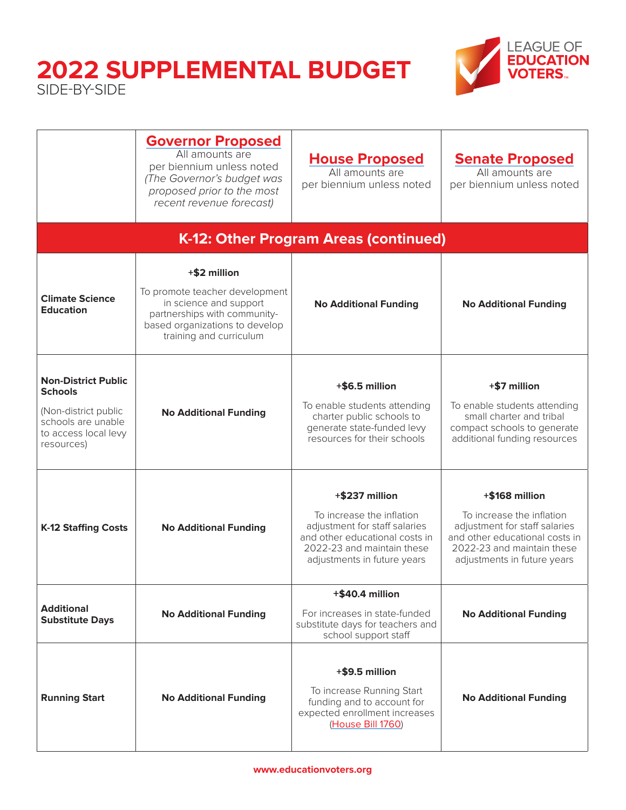

|                                                                                                                                  | <b>Governor Proposed</b><br>All amounts are<br>per biennium unless noted<br>(The Governor's budget was<br>proposed prior to the most<br>recent revenue forecast)      | <b>House Proposed</b><br>All amounts are<br>per biennium unless noted                                                                                                       | <b>Senate Proposed</b><br>All amounts are<br>per biennium unless noted                                                                                                      |
|----------------------------------------------------------------------------------------------------------------------------------|-----------------------------------------------------------------------------------------------------------------------------------------------------------------------|-----------------------------------------------------------------------------------------------------------------------------------------------------------------------------|-----------------------------------------------------------------------------------------------------------------------------------------------------------------------------|
|                                                                                                                                  |                                                                                                                                                                       | K-12: Other Program Areas (continued)                                                                                                                                       |                                                                                                                                                                             |
| <b>Climate Science</b><br><b>Education</b>                                                                                       | +\$2 million<br>To promote teacher development<br>in science and support<br>partnerships with community-<br>based organizations to develop<br>training and curriculum | <b>No Additional Funding</b>                                                                                                                                                | <b>No Additional Funding</b>                                                                                                                                                |
| <b>Non-District Public</b><br><b>Schools</b><br>(Non-district public<br>schools are unable<br>to access local levy<br>resources) | <b>No Additional Funding</b>                                                                                                                                          | +\$6.5 million<br>To enable students attending<br>charter public schools to<br>generate state-funded levy<br>resources for their schools                                    | +\$7 million<br>To enable students attending<br>small charter and tribal<br>compact schools to generate<br>additional funding resources                                     |
| <b>K-12 Staffing Costs</b>                                                                                                       | <b>No Additional Funding</b>                                                                                                                                          | +\$237 million<br>To increase the inflation<br>adjustment for staff salaries<br>and other educational costs in<br>2022-23 and maintain these<br>adjustments in future years | +\$168 million<br>To increase the inflation<br>adjustment for staff salaries<br>and other educational costs in<br>2022-23 and maintain these<br>adjustments in future years |
| <b>Additional</b><br><b>Substitute Days</b>                                                                                      | <b>No Additional Funding</b>                                                                                                                                          | +\$40.4 million<br>For increases in state-funded<br>substitute days for teachers and<br>school support staff                                                                | <b>No Additional Funding</b>                                                                                                                                                |
| <b>Running Start</b>                                                                                                             | <b>No Additional Funding</b>                                                                                                                                          | +\$9.5 million<br>To increase Running Start<br>funding and to account for<br>expected enrollment increases<br>(House Bill 1760)                                             | <b>No Additional Funding</b>                                                                                                                                                |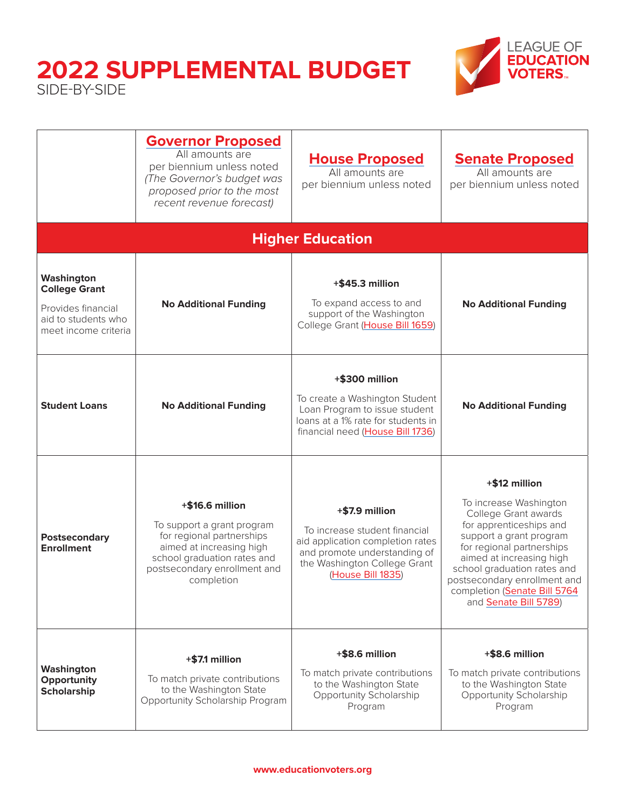

|                                                                                                         | <b>Governor Proposed</b><br>All amounts are<br>per biennium unless noted<br>(The Governor's budget was<br>proposed prior to the most<br>recent revenue forecast)                    | <b>House Proposed</b><br>All amounts are<br>per biennium unless noted                                                                                                    | <b>Senate Proposed</b><br>All amounts are<br>per biennium unless noted                                                                                                                                                                                                                                 |
|---------------------------------------------------------------------------------------------------------|-------------------------------------------------------------------------------------------------------------------------------------------------------------------------------------|--------------------------------------------------------------------------------------------------------------------------------------------------------------------------|--------------------------------------------------------------------------------------------------------------------------------------------------------------------------------------------------------------------------------------------------------------------------------------------------------|
|                                                                                                         |                                                                                                                                                                                     | <b>Higher Education</b>                                                                                                                                                  |                                                                                                                                                                                                                                                                                                        |
| Washington<br><b>College Grant</b><br>Provides financial<br>aid to students who<br>meet income criteria | <b>No Additional Funding</b>                                                                                                                                                        | $+$ \$45.3 million<br>To expand access to and<br>support of the Washington<br>College Grant (House Bill 1659)                                                            | <b>No Additional Funding</b>                                                                                                                                                                                                                                                                           |
| <b>Student Loans</b>                                                                                    | <b>No Additional Funding</b>                                                                                                                                                        | +\$300 million<br>To create a Washington Student<br>Loan Program to issue student<br>loans at a 1% rate for students in<br>financial need (House Bill 1736)              | <b>No Additional Funding</b>                                                                                                                                                                                                                                                                           |
| Postsecondary<br><b>Enrollment</b>                                                                      | +\$16.6 million<br>To support a grant program<br>for regional partnerships<br>aimed at increasing high<br>school graduation rates and<br>postsecondary enrollment and<br>completion | +\$7.9 million<br>To increase student financial<br>aid application completion rates<br>and promote understanding of<br>the Washington College Grant<br>(House Bill 1835) | +\$12 million<br>To increase Washington<br>College Grant awards<br>for apprenticeships and<br>support a grant program<br>for regional partnerships<br>aimed at increasing high<br>school graduation rates and<br>postsecondary enrollment and<br>completion (Senate Bill 5764<br>and Senate Bill 5789) |
| Washington<br>Opportunity<br><b>Scholarship</b>                                                         | $+$ \$7.1 million<br>To match private contributions<br>to the Washington State<br>Opportunity Scholarship Program                                                                   | +\$8.6 million<br>To match private contributions<br>to the Washington State<br>Opportunity Scholarship<br>Program                                                        | +\$8.6 million<br>To match private contributions<br>to the Washington State<br>Opportunity Scholarship<br>Program                                                                                                                                                                                      |